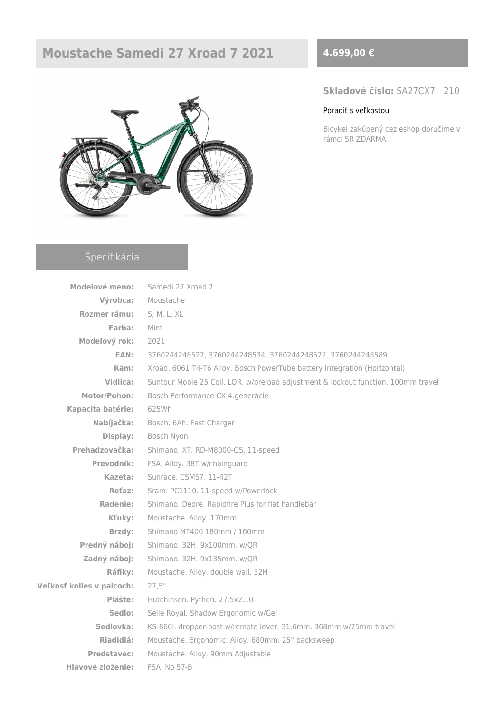# **Moustache Samedi 27 Xroad 7 2021 4.699,00 €**



### **Skladové číslo:** SA27CX7\_\_210

#### [Poradiť s veľkosťou](https://ebajk.sk/wp-content/uploads/2021/02/Tabulka-velkosti-Moustache.pdf)

Bicykel zakúpený cez eshop doručíme v rámci SR ZDARMA

## Špecifikácia

| <b>Modelové meno:</b>     | Samedi 27 Xroad 7                                                                 |  |  |  |  |
|---------------------------|-----------------------------------------------------------------------------------|--|--|--|--|
| Výrobca:                  | Moustache                                                                         |  |  |  |  |
| Rozmer rámu:              | S, M, L, XL                                                                       |  |  |  |  |
| Farba:                    | Mint                                                                              |  |  |  |  |
| Modelový rok:             | 2021                                                                              |  |  |  |  |
| EAN:                      | 3760244248527, 3760244248534, 3760244248572, 3760244248589                        |  |  |  |  |
| Rám:                      | Xroad. 6061 T4-T6 Alloy. Bosch PowerTube battery integration (Horizontal)         |  |  |  |  |
| Vidlica:                  | Suntour Mobie 25 Coil. LOR. w/preload adjustment & lockout function. 100mm travel |  |  |  |  |
| Motor/Pohon:              | Bosch Performance CX 4.generácie                                                  |  |  |  |  |
| Kapacita batérie:         | 625Wh                                                                             |  |  |  |  |
| Nabíjačka:                | Bosch. 6Ah. Fast Charger                                                          |  |  |  |  |
| Display:                  | Bosch Nyon                                                                        |  |  |  |  |
| Prehadzovačka:            | Shimano. XT. RD-M8000-GS. 11-speed                                                |  |  |  |  |
| Prevodník:                | FSA. Alloy. 38T w/chainguard                                                      |  |  |  |  |
| Kazeta:                   | Sunrace. CSMS7. 11-42T                                                            |  |  |  |  |
| Reťaz:                    | Sram. PC1110. 11-speed w/Powerlock                                                |  |  |  |  |
| Radenie:                  | Shimano. Deore. Rapidfire Plus for flat handlebar                                 |  |  |  |  |
| Kľuky:                    | Moustache. Alloy. 170mm                                                           |  |  |  |  |
| Brzdy:                    | Shimano MT400 180mm / 160mm                                                       |  |  |  |  |
| Predný náboj:             | Shimano. 32H. 9x100mm. w/QR                                                       |  |  |  |  |
| Zadný náboj:              | Shimano. 32H. 9x135mm. w/QR                                                       |  |  |  |  |
| Ráfiky:                   | Moustache. Alloy. double wall. 32H                                                |  |  |  |  |
| Veľkosť kolies v palcoch: | 27,5"                                                                             |  |  |  |  |
| Plášte:                   | Hutchinson. Python. 27.5x2.10                                                     |  |  |  |  |
| Sedlo:                    | Selle Royal. Shadow Ergonomic w/Gel                                               |  |  |  |  |
| Sedlovka:                 | KS-860I. dropper-post w/remote lever. 31.6mm. 368mm w/75mm travel                 |  |  |  |  |
| Riadidlá:                 | Moustache. Ergonomic. Alloy. 680mm. 25° backsweep                                 |  |  |  |  |
| Predstavec:               | Moustache. Alloy. 90mm Adjustable                                                 |  |  |  |  |
| Hlavové zloženie:         | FSA. No 57-B                                                                      |  |  |  |  |